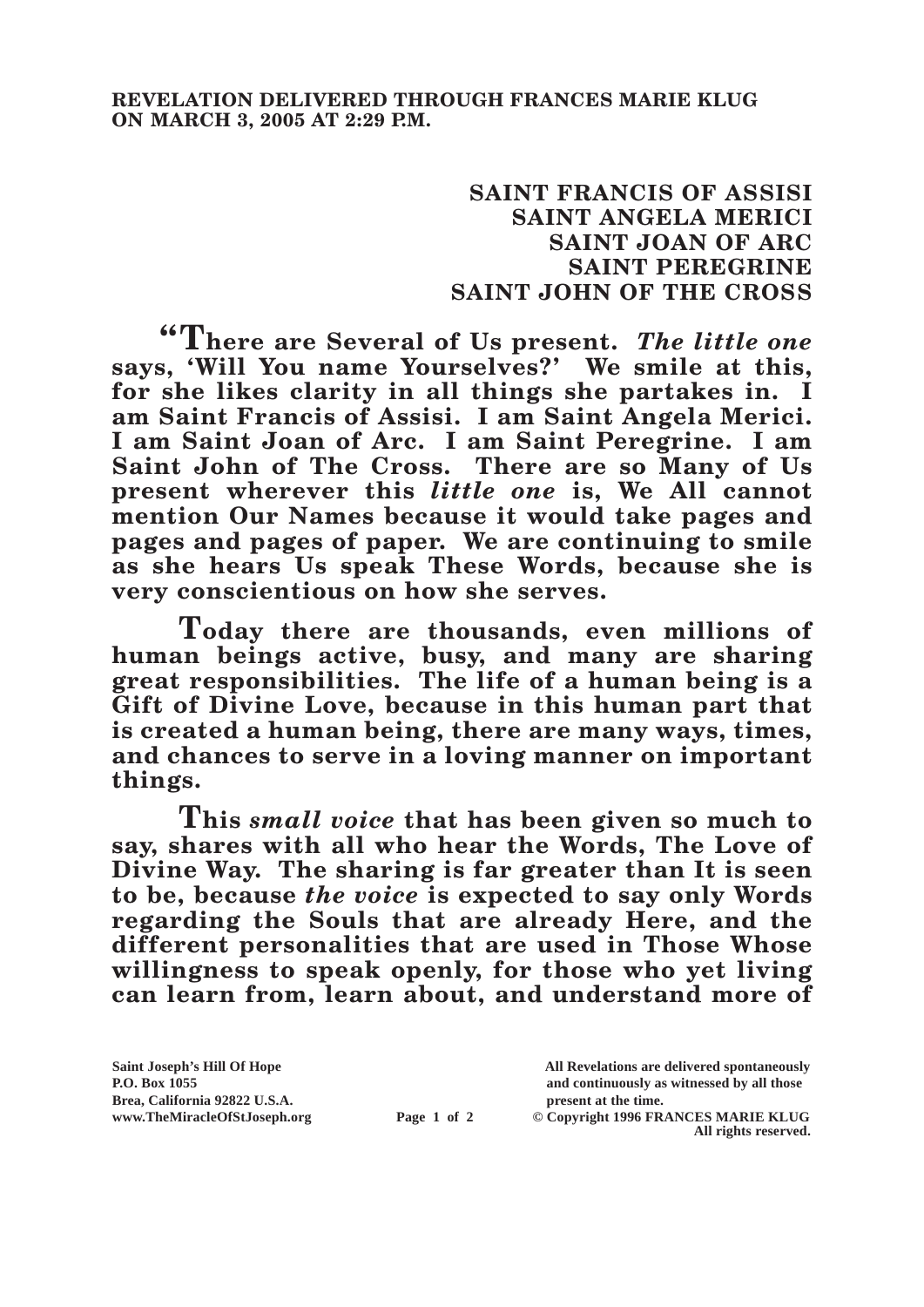## **SAINT FRANCIS OF ASSISI SAINT ANGELA MERICI SAINT JOAN OF ARC SAINT PEREGRINE SAINT JOHN OF THE CROSS**

**"There are Several of Us present.** *The little one* **says, 'Will You name Yourselves?' We smile at this, for she likes clarity in all things she partakes in. I am Saint Francis of Assisi. I am Saint Angela Merici. I am Saint Joan of Arc. I am Saint Peregrine. I am Saint John of The Cross. There are so Many of Us present wherever this** *little one* **is, We All cannot mention Our Names because it would take pages and pages and pages of paper. We are continuing to smile as she hears Us speak These Words, because she is very conscientious on how she serves.**

**Today there are thousands, even millions of human beings active, busy, and many are sharing great responsibilities. The life of a human being is a Gift of Divine Love, because in this human part that is created a human being, there are many ways, times, and chances to serve in a loving manner on important things.**

**This** *small voice* **that has been given so much to say, shares with all who hear the Words, The Love of Divine Way. The sharing is far greater than It is seen to be, because** *the voice* **is expected to say only Words regarding the Souls that are already Here, and the different personalities that are used in Those Whose willingness to speak openly, for those who yet living can learn from, learn about, and understand more of** 

**Brea, California 92822 U.S.A. present at the time.**<br> **present at the time.**<br> **present at the time.**<br> **Page 1 of 2** © Copyright 1996 FR.

**Saint Joseph's Hill Of Hope All Revelations are delivered spontaneously P.O. Box 1055 and continuously as witnessed by all those** 

**Page 1 of 2** © Copyright 1996 FRANCES MARIE KLUG **All rights reserved.**